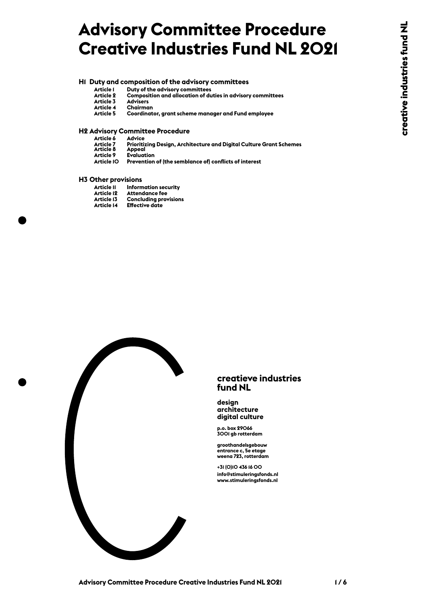## **Advisory Committee Procedure Creative Industries Fund NL 2021**

## **H1 Duty and composition of the advisory committees**

- 
- 
- 
- 
- 

# **H2 Advisory Committee Procedure** Article 1 Duty of the advisory committees<br>
Article 3 Advisers<br>
Article 4 Chairman<br>
Article 5 Coordinator, grant scheme mann<br> **H2 Advisory Committee Procedure**<br>
Article 6 Advice<br>
Article 6 Advice<br>
Article 7 Prioritizing Des

- **Article 7 Prioritizing Design, Architecture and Digital Culture Grant Schemes Article 2 Composition and allocation of duties in advisory committees<br>
Article 4 Chairman<br>
Article 5 Coordinator, grant scheme manager and Fund employee<br>
<b>Avisory Committee Procedure**<br>
Article 6 Advi Article 3 Advisers<br>Article 4 Chairman<br>Article 5 Coordinator, grant scheme manager and Fund employee<br>dvisory Committee Procedure<br>Article 6 Advice<br>Article 8 Appeal<br>Article 8 Appeal<br>Article 8 Appeal<br>Article 9 Evaluation<br>Artic
- 
- 

- 
- **Article 14 Effective date**
- 



#### **creatieve industries fund NL**

#### **design architecture digital culture**

**p.o. box 29066 3001 gb rotterdam**

**groothandelsgebouw entrance c, 5e etage weena 723, rotterdam**

**+31 (0)10 436 16 00 info@stimuleringsfonds.nl www.stimuleringsfonds.nl**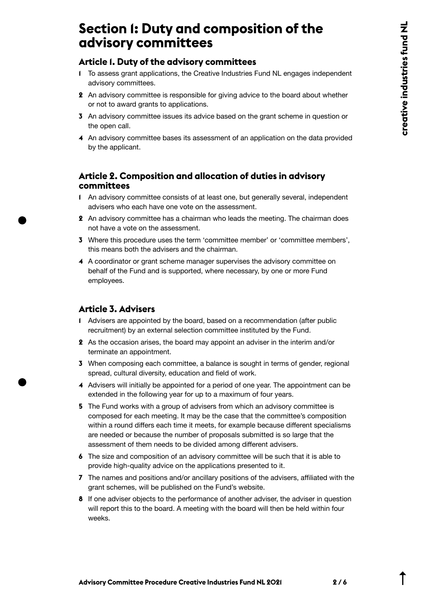## **Section 1: Duty and composition of the advisory committees**

#### **Article 1. Duty of the advisory committees**

- **1** To assess grant applications, the Creative Industries Fund NL engages independent advisory committees.
- **2** An advisory committee is responsible for giving advice to the board about whether or not to award grants to applications.
- **3** An advisory committee issues its advice based on the grant scheme in question or the open call.
- **4** An advisory committee bases its assessment of an application on the data provided by the applicant.

#### **Article 2. Composition and allocation of duties in advisory committees**

- **1** An advisory committee consists of at least one, but generally several, independent advisers who each have one vote on the assessment.
- **2** An advisory committee has a chairman who leads the meeting. The chairman does not have a vote on the assessment.
- **3** Where this procedure uses the term 'committee member' or 'committee members', this means both the advisers and the chairman.
- **4** A coordinator or grant scheme manager supervises the advisory committee on behalf of the Fund and is supported, where necessary, by one or more Fund employees.

#### **Article 3. Advisers**

- **1** Advisers are appointed by the board, based on a recommendation (after public recruitment) by an external selection committee instituted by the Fund.
- **2** As the occasion arises, the board may appoint an adviser in the interim and/or terminate an appointment.
- **3** When composing each committee, a balance is sought in terms of gender, regional spread, cultural diversity, education and field of work.
- **4** Advisers will initially be appointed for a period of one year. The appointment can be extended in the following year for up to a maximum of four years.
- **5** The Fund works with a group of advisers from which an advisory committee is composed for each meeting. It may be the case that the committee's composition within a round differs each time it meets, for example because different specialisms are needed or because the number of proposals submitted is so large that the assessment of them needs to be divided among different advisers.
- **6** The size and composition of an advisory committee will be such that it is able to provide high-quality advice on the applications presented to it.
- **7** The names and positions and/or ancillary positions of the advisers, affiliated with the grant schemes, will be published on the Fund's website.
- **8** If one adviser objects to the performance of another adviser, the adviser in question will report this to the board. A meeting with the board will then be held within four weeks.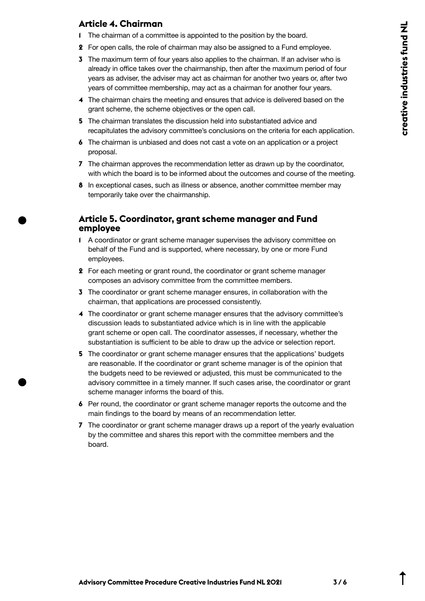#### **Article 4. Chairman**

- **1** The chairman of a committee is appointed to the position by the board.
- **2** For open calls, the role of chairman may also be assigned to a Fund employee.
- **3** The maximum term of four years also applies to the chairman. If an adviser who is already in office takes over the chairmanship, then after the maximum period of four years as adviser, the adviser may act as chairman for another two years or, after two years of committee membership, may act as a chairman for another four years.
- **4** The chairman chairs the meeting and ensures that advice is delivered based on the grant scheme, the scheme objectives or the open call.
- **5** The chairman translates the discussion held into substantiated advice and recapitulates the advisory committee's conclusions on the criteria for each application.
- **6** The chairman is unbiased and does not cast a vote on an application or a project proposal.
- **7** The chairman approves the recommendation letter as drawn up by the coordinator, with which the board is to be informed about the outcomes and course of the meeting.
- **8** In exceptional cases, such as illness or absence, another committee member may temporarily take over the chairmanship.

#### **Article 5. Coordinator, grant scheme manager and Fund employee**

- **1** A coordinator or grant scheme manager supervises the advisory committee on behalf of the Fund and is supported, where necessary, by one or more Fund employees.
- **2** For each meeting or grant round, the coordinator or grant scheme manager composes an advisory committee from the committee members.
- **3** The coordinator or grant scheme manager ensures, in collaboration with the chairman, that applications are processed consistently.
- **4** The coordinator or grant scheme manager ensures that the advisory committee's discussion leads to substantiated advice which is in line with the applicable grant scheme or open call. The coordinator assesses, if necessary, whether the substantiation is sufficient to be able to draw up the advice or selection report.
- **5** The coordinator or grant scheme manager ensures that the applications' budgets are reasonable. If the coordinator or grant scheme manager is of the opinion that the budgets need to be reviewed or adjusted, this must be communicated to the advisory committee in a timely manner. If such cases arise, the coordinator or grant scheme manager informs the board of this.
- **6** Per round, the coordinator or grant scheme manager reports the outcome and the main findings to the board by means of an recommendation letter.
- **7** The coordinator or grant scheme manager draws up a report of the yearly evaluation by the committee and shares this report with the committee members and the board.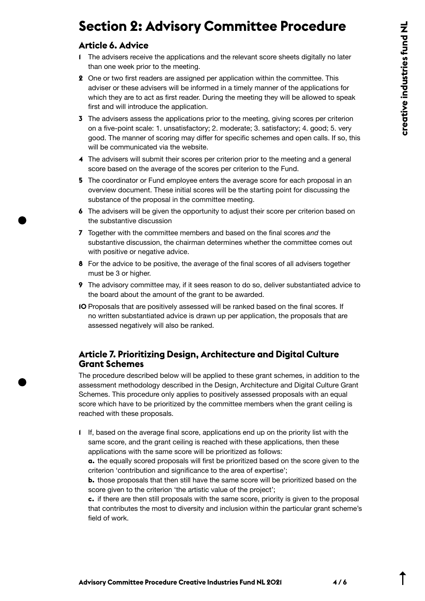## **Section 2: Advisory Committee Procedure**

### **Article 6. Advice**

- **1** The advisers receive the applications and the relevant score sheets digitally no later than one week prior to the meeting.
- **2** One or two first readers are assigned per application within the committee. This adviser or these advisers will be informed in a timely manner of the applications for which they are to act as first reader. During the meeting they will be allowed to speak first and will introduce the application.
- **3** The advisers assess the applications prior to the meeting, giving scores per criterion on a five-point scale: 1. unsatisfactory; 2. moderate; 3. satisfactory; 4. good; 5. very good. The manner of scoring may differ for specific schemes and open calls. If so, this will be communicated via the website.
- **4** The advisers will submit their scores per criterion prior to the meeting and a general score based on the average of the scores per criterion to the Fund.
- **5** The coordinator or Fund employee enters the average score for each proposal in an overview document. These initial scores will be the starting point for discussing the substance of the proposal in the committee meeting.
- **6** The advisers will be given the opportunity to adjust their score per criterion based on the substantive discussion
- **7** Together with the committee members and based on the final scores *and* the substantive discussion, the chairman determines whether the committee comes out with positive or negative advice.
- **8** For the advice to be positive, the average of the final scores of all advisers together must be 3 or higher.
- **9** The advisory committee may, if it sees reason to do so, deliver substantiated advice to the board about the amount of the grant to be awarded.
- **10** Proposals that are positively assessed will be ranked based on the final scores. If no written substantiated advice is drawn up per application, the proposals that are assessed negatively will also be ranked.

#### **Article 7. Prioritizing Design, Architecture and Digital Culture Grant Schemes**

The procedure described below will be applied to these grant schemes, in addition to the assessment methodology described in the Design, Architecture and Digital Culture Grant Schemes. This procedure only applies to positively assessed proposals with an equal score which have to be prioritized by the committee members when the grant ceiling is reached with these proposals.

**1** If, based on the average final score, applications end up on the priority list with the same score, and the grant ceiling is reached with these applications, then these applications with the same score will be prioritized as follows:

**a.** the equally scored proposals will first be prioritized based on the score given to the criterion 'contribution and significance to the area of expertise';

**b.** those proposals that then still have the same score will be prioritized based on the score given to the criterion 'the artistic value of the project';

**c.** if there are then still proposals with the same score, priority is given to the proposal that contributes the most to diversity and inclusion within the particular grant scheme's field of work.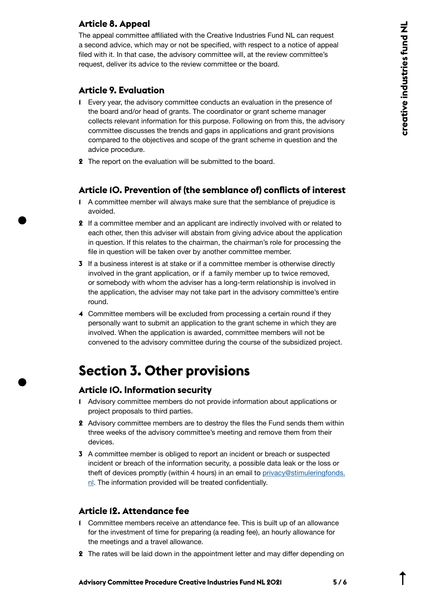#### **Article 8. Appeal**

The appeal committee affiliated with the Creative Industries Fund NL can request a second advice, which may or not be specified, with respect to a notice of appeal filed with it. In that case, the advisory committee will, at the review committee's request, deliver its advice to the review committee or the board.

#### **Article 9. Evaluation**

- **1** Every year, the advisory committee conducts an evaluation in the presence of the board and/or head of grants. The coordinator or grant scheme manager collects relevant information for this purpose. Following on from this, the advisory committee discusses the trends and gaps in applications and grant provisions compared to the objectives and scope of the grant scheme in question and the advice procedure.
- **2** The report on the evaluation will be submitted to the board.

#### **Article 10. Prevention of (the semblance of) conflicts of interest**

- **1** A committee member will always make sure that the semblance of prejudice is avoided.
- **2** If a committee member and an applicant are indirectly involved with or related to each other, then this adviser will abstain from giving advice about the application in question. If this relates to the chairman, the chairman's role for processing the file in question will be taken over by another committee member.
- **3** If a business interest is at stake or if a committee member is otherwise directly involved in the grant application, or if a family member up to twice removed, or somebody with whom the adviser has a long-term relationship is involved in the application, the adviser may not take part in the advisory committee's entire round.
- **4** Committee members will be excluded from processing a certain round if they personally want to submit an application to the grant scheme in which they are involved. When the application is awarded, committee members will not be convened to the advisory committee during the course of the subsidized project.

## **Section 3. Other provisions**

#### **Article 10. Information security**

- **1** Advisory committee members do not provide information about applications or project proposals to third parties.
- **2** Advisory committee members are to destroy the files the Fund sends them within three weeks of the advisory committee's meeting and remove them from their devices.
- **3** A committee member is obliged to report an incident or breach or suspected incident or breach of the information security, a possible data leak or the loss or theft of devices promptly (within 4 hours) in an email to [privacy@stimuleringfonds.](mailto:privacy%40stimuleringfonds.nl?subject=) [nl](mailto:privacy%40stimuleringfonds.nl?subject=). The information provided will be treated confidentially.

#### **Article 12. Attendance fee**

- **1** Committee members receive an attendance fee. This is built up of an allowance for the investment of time for preparing (a reading fee), an hourly allowance for the meetings and a travel allowance.
- **2** The rates will be laid down in the appointment letter and may differ depending on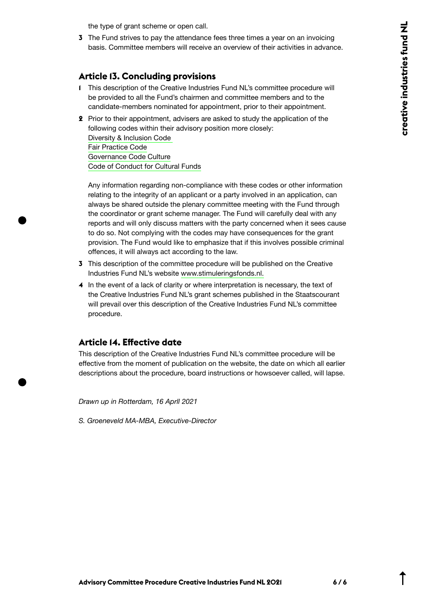the type of grant scheme or open call.

**3** The Fund strives to pay the attendance fees three times a year on an invoicing basis. Committee members will receive an overview of their activities in advance.

#### **Article 13. Concluding provisions**

- **1** This description of the Creative Industries Fund NL's committee procedure will be provided to all the Fund's chairmen and committee members and to the candidate-members nominated for appointment, prior to their appointment.
- **2** Prior to their appointment, advisers are asked to study the application of the following codes within their advisory position more closely: [Diversity & Inclusion Code](https://codedi.nl/wp-content/uploads/2020/08/Code-Diversiteit-en-Inclusie-Digitoegankelijk.pdf)  [Fair Practice Code](https://fairpracticecode.nl/nl)  [Governance Code Culture](https://bij.cultuur-ondernemen.nl/governance-code-cultuur/principe/introductie) Code of Conduct for Cultural Funds

Any information regarding non-compliance with these codes or other information relating to the integrity of an applicant or a party involved in an application, can always be shared outside the plenary committee meeting with the Fund through the coordinator or grant scheme manager. The Fund will carefully deal with any reports and will only discuss matters with the party concerned when it sees cause to do so. Not complying with the codes may have consequences for the grant provision. The Fund would like to emphasize that if this involves possible criminal offences, it will always act according to the law.

- **3** This description of the committee procedure will be published on the Creative Industries Fund NL's website [www.stimuleringsfonds.nl.](http://www.stimuleringsfonds.nl)
- **4** In the event of a lack of clarity or where interpretation is necessary, the text of the Creative Industries Fund NL's grant schemes published in the Staatscourant will prevail over this description of the Creative Industries Fund NL's committee procedure.

#### **Article 14. Effective date**

This description of the Creative Industries Fund NL's committee procedure will be effective from the moment of publication on the website, the date on which all earlier descriptions about the procedure, board instructions or howsoever called, will lapse.

*Drawn up in Rotterdam, 16 Aprll 2021* 

*S. Groeneveld MA-MBA, Executive-Director*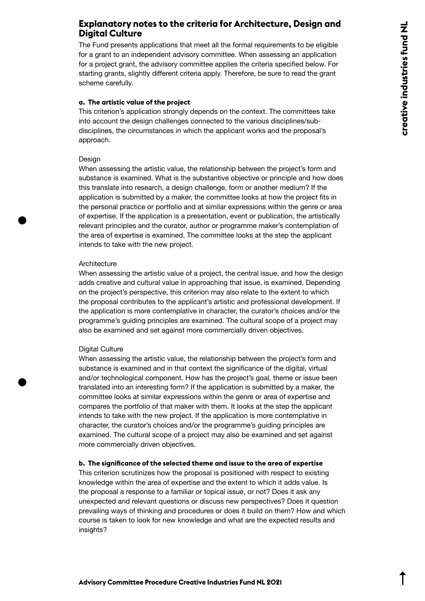#### **Explanatory notes to the criteria for Architecture, Design and Digital Culture**

The Fund presents applications that meet all the formal requirements to be eligible for a grant to an independent advisory committee. When assessing an application for a project grant, the advisory committee applies the criteria specified below. For starting grants, slightly different criteria apply. Therefore, be sure to read the grant scheme carefully.

#### **a. The artistic value of the project**

This criterion's application strongly depends on the context. The committees take into account the design challenges connected to the various disciplines/subdisciplines, the circumstances in which the applicant works and the proposal's approach.

#### Design

When assessing the artistic value, the relationship between the project's form and substance is examined. What is the substantive objective or principle and how does this translate into research, a design challenge, form or another medium? If the application is submitted by a maker, the committee looks at how the project fits in the personal practice or portfolio and at similar expressions within the genre or area of expertise. If the application is a presentation, event or publication, the artistically relevant principles and the curator, author or programme maker's contemplation of the area of expertise is examined. The committee looks at the step the applicant intends to take with the new project.

#### **Architecture**

When assessing the artistic value of a project, the central issue, and how the design adds creative and cultural value in approaching that issue, is examined. Depending on the project's perspective, this criterion may also relate to the extent to which the proposal contributes to the applicant's artistic and professional development. If the application is more contemplative in character, the curator's choices and/or the programme's guiding principles are examined. The cultural scope of a project may also be examined and set against more commercially driven objectives.

#### Digital Culture

When assessing the artistic value, the relationship between the project's form and substance is examined and in that context the significance of the digital, virtual and/or technological component. How has the project's goal, theme or issue been translated into an interesting form? If the application is submitted by a maker, the committee looks at similar expressions within the genre or area of expertise and compares the portfolio of that maker with them. It looks at the step the applicant intends to take with the new project. If the application is more contemplative in character, the curator's choices and/or the programme's guiding principles are examined. The cultural scope of a project may also be examined and set against more commercially driven objectives.

#### **b. The significance of the selected theme and issue to the area of expertise**

This criterion scrutinizes how the proposal is positioned with respect to existing knowledge within the area of expertise and the extent to which it adds value. Is the proposal a response to a familiar or topical issue, or not? Does it ask any unexpected and relevant questions or discuss new perspectives? Does it question prevailing ways of thinking and procedures or does it build on them? How and which course is taken to look for new knowledge and what are the expected results and insights?